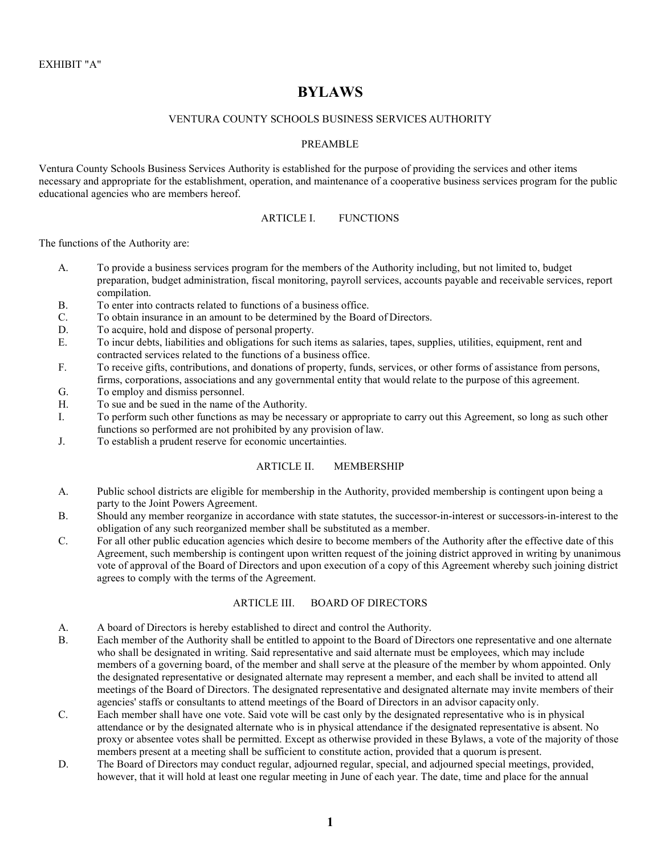# **BYLAWS**

#### VENTURA COUNTY SCHOOLS BUSINESS SERVICES AUTHORITY

#### PREAMBLE

Ventura County Schools Business Services Authority is established for the purpose of providing the services and other items necessary and appropriate for the establishment, operation, and maintenance of a cooperative business services program for the public educational agencies who are members hereof.

#### ARTICLE I. FUNCTIONS

The functions of the Authority are:

- A. To provide a business services program for the members of the Authority including, but not limited to, budget preparation, budget administration, fiscal monitoring, payroll services, accounts payable and receivable services, report compilation.
- B. To enter into contracts related to functions of a business office.
- C. To obtain insurance in an amount to be determined by the Board of Directors.
- D. To acquire, hold and dispose of personal property.
- E. To incur debts, liabilities and obligations for such items as salaries, tapes, supplies, utilities, equipment, rent and contracted services related to the functions of a business office.
- F. To receive gifts, contributions, and donations of property, funds, services, or other forms of assistance from persons, firms, corporations, associations and any governmental entity that would relate to the purpose of this agreement.
- G. To employ and dismiss personnel.
- H. To sue and be sued in the name of the Authority.
- I. To perform such other functions as may be necessary or appropriate to carry out this Agreement, so long as such other functions so performed are not prohibited by any provision of law.
- J. To establish a prudent reserve for economic uncertainties.

# ARTICLE II. MEMBERSHIP

- A. Public school districts are eligible for membership in the Authority, provided membership is contingent upon being a party to the Joint Powers Agreement.
- B. Should any member reorganize in accordance with state statutes, the successor-in-interest or successors-in-interest to the obligation of any such reorganized member shall be substituted as a member.
- C. For all other public education agencies which desire to become members of the Authority after the effective date of this Agreement, such membership is contingent upon written request of the joining district approved in writing by unanimous vote of approval of the Board of Directors and upon execution of a copy of this Agreement whereby such joining district agrees to comply with the terms of the Agreement.

# ARTICLE III. BOARD OF DIRECTORS

- A. A board of Directors is hereby established to direct and control the Authority.
- B. Each member of the Authority shall be entitled to appoint to the Board of Directors one representative and one alternate who shall be designated in writing. Said representative and said alternate must be employees, which may include members of a governing board, of the member and shall serve at the pleasure of the member by whom appointed. Only the designated representative or designated alternate may represent a member, and each shall be invited to attend all meetings of the Board of Directors. The designated representative and designated alternate may invite members of their agencies' staffs or consultants to attend meetings of the Board of Directors in an advisor capacity only.
- C. Each member shall have one vote. Said vote will be cast only by the designated representative who is in physical attendance or by the designated alternate who is in physical attendance if the designated representative is absent. No proxy or absentee votes shall be permitted. Except as otherwise provided in these Bylaws, a vote of the majority of those members present at a meeting shall be sufficient to constitute action, provided that a quorum is present.
- D. The Board of Directors may conduct regular, adjourned regular, special, and adjourned special meetings, provided, however, that it will hold at least one regular meeting in June of each year. The date, time and place for the annual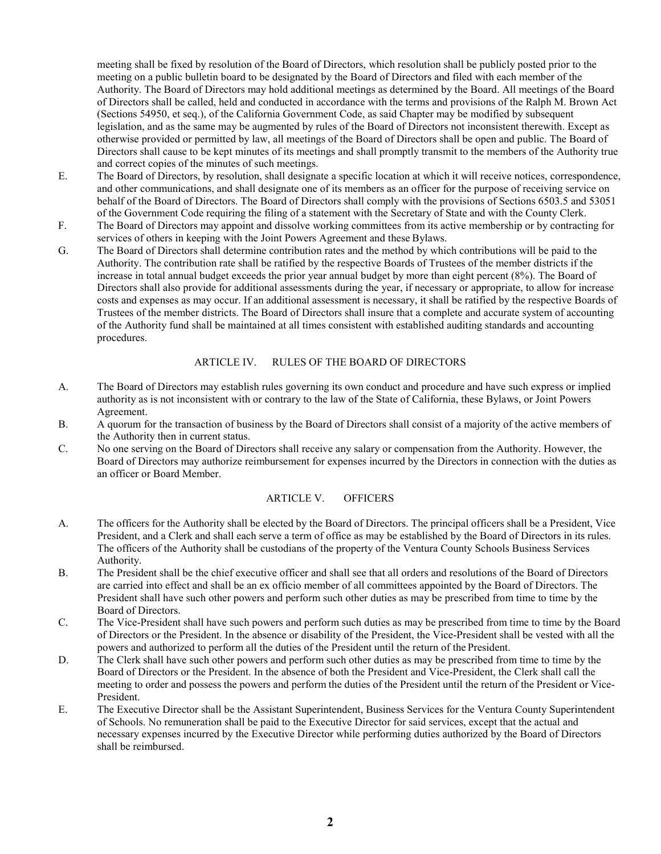meeting shall be fixed by resolution of the Board of Directors, which resolution shall be publicly posted prior to the meeting on a public bulletin board to be designated by the Board of Directors and filed with each member of the Authority. The Board of Directors may hold additional meetings as determined by the Board. All meetings of the Board of Directors shall be called, held and conducted in accordance with the terms and provisions of the Ralph M. Brown Act (Sections 54950, et seq.), of the California Government Code, as said Chapter may be modified by subsequent legislation, and as the same may be augmented by rules of the Board of Directors not inconsistent therewith. Except as otherwise provided or permitted by law, all meetings of the Board of Directors shall be open and public. The Board of Directors shall cause to be kept minutes of its meetings and shall promptly transmit to the members of the Authority true and correct copies of the minutes of such meetings.

- E. The Board of Directors, by resolution, shall designate a specific location at which it will receive notices, correspondence, and other communications, and shall designate one of its members as an officer for the purpose of receiving service on behalf of the Board of Directors. The Board of Directors shall comply with the provisions of Sections 6503.5 and 53051 of the Government Code requiring the filing of a statement with the Secretary of State and with the County Clerk.
- F. The Board of Directors may appoint and dissolve working committees from its active membership or by contracting for services of others in keeping with the Joint Powers Agreement and these Bylaws.
- G. The Board of Directors shall determine contribution rates and the method by which contributions will be paid to the Authority. The contribution rate shall be ratified by the respective Boards of Trustees of the member districts if the increase in total annual budget exceeds the prior year annual budget by more than eight percent (8%). The Board of Directors shall also provide for additional assessments during the year, if necessary or appropriate, to allow for increase costs and expenses as may occur. If an additional assessment is necessary, it shall be ratified by the respective Boards of Trustees of the member districts. The Board of Directors shall insure that a complete and accurate system of accounting of the Authority fund shall be maintained at all times consistent with established auditing standards and accounting procedures.

#### ARTICLE IV. RULES OF THE BOARD OF DIRECTORS

- A. The Board of Directors may establish rules governing its own conduct and procedure and have such express or implied authority as is not inconsistent with or contrary to the law of the State of California, these Bylaws, or Joint Powers Agreement.
- B. A quorum for the transaction of business by the Board of Directors shall consist of a majority of the active members of the Authority then in current status.
- C. No one serving on the Board of Directors shall receive any salary or compensation from the Authority. However, the Board of Directors may authorize reimbursement for expenses incurred by the Directors in connection with the duties as an officer or Board Member.

#### ARTICLE V. OFFICERS

- A. The officers for the Authority shall be elected by the Board of Directors. The principal officers shall be a President, Vice President, and a Clerk and shall each serve a term of office as may be established by the Board of Directors in its rules. The officers of the Authority shall be custodians of the property of the Ventura County Schools Business Services Authority.
- B. The President shall be the chief executive officer and shall see that all orders and resolutions of the Board of Directors are carried into effect and shall be an ex officio member of all committees appointed by the Board of Directors. The President shall have such other powers and perform such other duties as may be prescribed from time to time by the Board of Directors.
- C. The Vice-President shall have such powers and perform such duties as may be prescribed from time to time by the Board of Directors or the President. In the absence or disability of the President, the Vice-President shall be vested with all the powers and authorized to perform all the duties of the President until the return of the President.
- D. The Clerk shall have such other powers and perform such other duties as may be prescribed from time to time by the Board of Directors or the President. In the absence of both the President and Vice-President, the Clerk shall call the meeting to order and possess the powers and perform the duties of the President until the return of the President or Vice-President.
- E. The Executive Director shall be the Assistant Superintendent, Business Services for the Ventura County Superintendent of Schools. No remuneration shall be paid to the Executive Director for said services, except that the actual and necessary expenses incurred by the Executive Director while performing duties authorized by the Board of Directors shall be reimbursed.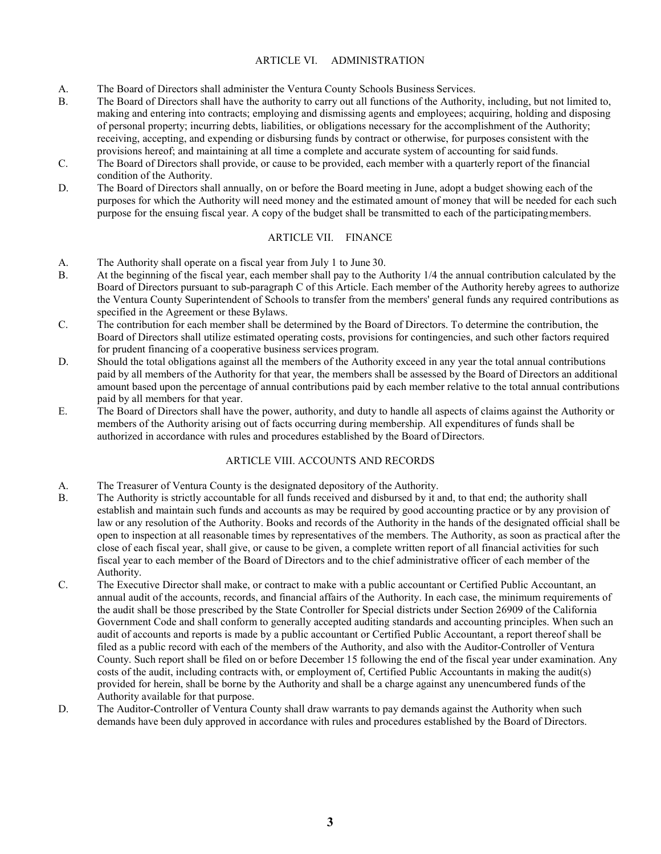#### ARTICLE VI. ADMINISTRATION

- A. The Board of Directors shall administer the Ventura County Schools Business Services.
- B. The Board of Directors shall have the authority to carry out all functions of the Authority, including, but not limited to, making and entering into contracts; employing and dismissing agents and employees; acquiring, holding and disposing of personal property; incurring debts, liabilities, or obligations necessary for the accomplishment of the Authority; receiving, accepting, and expending or disbursing funds by contract or otherwise, for purposes consistent with the provisions hereof; and maintaining at all time a complete and accurate system of accounting for said funds.
- C. The Board of Directors shall provide, or cause to be provided, each member with a quarterly report of the financial condition of the Authority.
- D. The Board of Directors shall annually, on or before the Board meeting in June, adopt a budget showing each of the purposes for which the Authority will need money and the estimated amount of money that will be needed for each such purpose for the ensuing fiscal year. A copy of the budget shall be transmitted to each of the participatingmembers.

# ARTICLE VII. FINANCE

- A. The Authority shall operate on a fiscal year from July 1 to June 30.
- B. At the beginning of the fiscal year, each member shall pay to the Authority 1/4 the annual contribution calculated by the Board of Directors pursuant to sub-paragraph C of this Article. Each member of the Authority hereby agrees to authorize the Ventura County Superintendent of Schools to transfer from the members' general funds any required contributions as specified in the Agreement or these Bylaws.
- C. The contribution for each member shall be determined by the Board of Directors. To determine the contribution, the Board of Directors shall utilize estimated operating costs, provisions for contingencies, and such other factors required for prudent financing of a cooperative business services program.
- D. Should the total obligations against all the members of the Authority exceed in any year the total annual contributions paid by all members of the Authority for that year, the members shall be assessed by the Board of Directors an additional amount based upon the percentage of annual contributions paid by each member relative to the total annual contributions paid by all members for that year.
- E. The Board of Directors shall have the power, authority, and duty to handle all aspects of claims against the Authority or members of the Authority arising out of facts occurring during membership. All expenditures of funds shall be authorized in accordance with rules and procedures established by the Board of Directors.

# ARTICLE VIII. ACCOUNTS AND RECORDS

- A. The Treasurer of Ventura County is the designated depository of the Authority.
- B. The Authority is strictly accountable for all funds received and disbursed by it and, to that end; the authority shall establish and maintain such funds and accounts as may be required by good accounting practice or by any provision of law or any resolution of the Authority. Books and records of the Authority in the hands of the designated official shall be open to inspection at all reasonable times by representatives of the members. The Authority, as soon as practical after the close of each fiscal year, shall give, or cause to be given, a complete written report of all financial activities for such fiscal year to each member of the Board of Directors and to the chief administrative officer of each member of the Authority.
- C. The Executive Director shall make, or contract to make with a public accountant or Certified Public Accountant, an annual audit of the accounts, records, and financial affairs of the Authority. In each case, the minimum requirements of the audit shall be those prescribed by the State Controller for Special districts under Section 26909 of the California Government Code and shall conform to generally accepted auditing standards and accounting principles. When such an audit of accounts and reports is made by a public accountant or Certified Public Accountant, a report thereof shall be filed as a public record with each of the members of the Authority, and also with the Auditor-Controller of Ventura County. Such report shall be filed on or before December 15 following the end of the fiscal year under examination. Any costs of the audit, including contracts with, or employment of, Certified Public Accountants in making the audit(s) provided for herein, shall be borne by the Authority and shall be a charge against any unencumbered funds of the Authority available for that purpose.
- D. The Auditor-Controller of Ventura County shall draw warrants to pay demands against the Authority when such demands have been duly approved in accordance with rules and procedures established by the Board of Directors.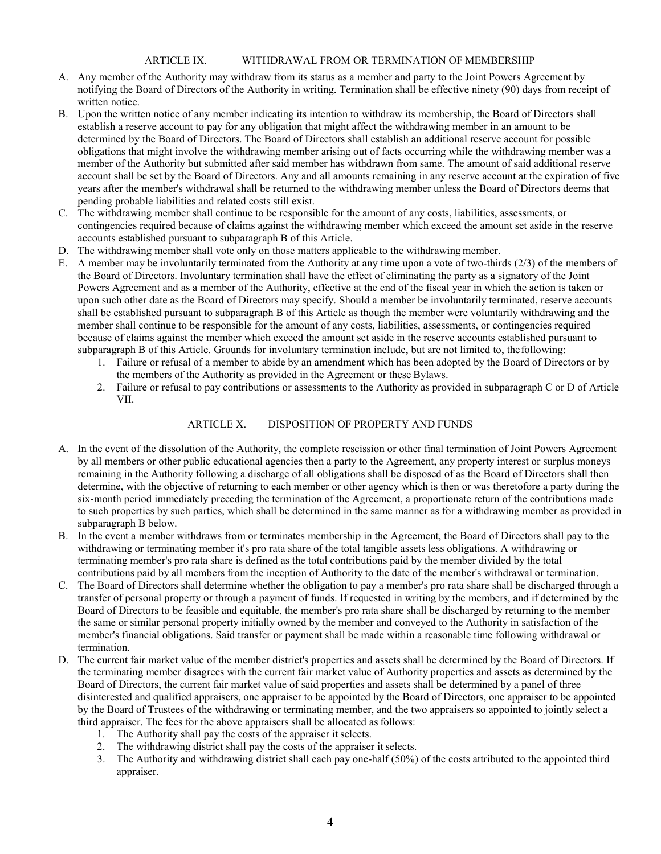#### ARTICLE IX. WITHDRAWAL FROM OR TERMINATION OF MEMBERSHIP

- A. Any member of the Authority may withdraw from its status as a member and party to the Joint Powers Agreement by notifying the Board of Directors of the Authority in writing. Termination shall be effective ninety (90) days from receipt of written notice.
- B. Upon the written notice of any member indicating its intention to withdraw its membership, the Board of Directors shall establish a reserve account to pay for any obligation that might affect the withdrawing member in an amount to be determined by the Board of Directors. The Board of Directors shall establish an additional reserve account for possible obligations that might involve the withdrawing member arising out of facts occurring while the withdrawing member was a member of the Authority but submitted after said member has withdrawn from same. The amount of said additional reserve account shall be set by the Board of Directors. Any and all amounts remaining in any reserve account at the expiration of five years after the member's withdrawal shall be returned to the withdrawing member unless the Board of Directors deems that pending probable liabilities and related costs still exist.
- C. The withdrawing member shall continue to be responsible for the amount of any costs, liabilities, assessments, or contingencies required because of claims against the withdrawing member which exceed the amount set aside in the reserve accounts established pursuant to subparagraph B of this Article.
- D. The withdrawing member shall vote only on those matters applicable to the withdrawing member.
- E. A member may be involuntarily terminated from the Authority at any time upon a vote of two-thirds (2/3) of the members of the Board of Directors. Involuntary termination shall have the effect of eliminating the party as a signatory of the Joint Powers Agreement and as a member of the Authority, effective at the end of the fiscal year in which the action is taken or upon such other date as the Board of Directors may specify. Should a member be involuntarily terminated, reserve accounts shall be established pursuant to subparagraph B of this Article as though the member were voluntarily withdrawing and the member shall continue to be responsible for the amount of any costs, liabilities, assessments, or contingencies required because of claims against the member which exceed the amount set aside in the reserve accounts established pursuant to subparagraph B of this Article. Grounds for involuntary termination include, but are not limited to, thefollowing:
	- 1. Failure or refusal of a member to abide by an amendment which has been adopted by the Board of Directors or by the members of the Authority as provided in the Agreement or these Bylaws.
	- 2. Failure or refusal to pay contributions or assessments to the Authority as provided in subparagraph C or D of Article VII.

#### ARTICLE X. DISPOSITION OF PROPERTY AND FUNDS

- A. In the event of the dissolution of the Authority, the complete rescission or other final termination of Joint Powers Agreement by all members or other public educational agencies then a party to the Agreement, any property interest or surplus moneys remaining in the Authority following a discharge of all obligations shall be disposed of as the Board of Directors shall then determine, with the objective of returning to each member or other agency which is then or was theretofore a party during the six-month period immediately preceding the termination of the Agreement, a proportionate return of the contributions made to such properties by such parties, which shall be determined in the same manner as for a withdrawing member as provided in subparagraph B below.
- B. In the event a member withdraws from or terminates membership in the Agreement, the Board of Directors shall pay to the withdrawing or terminating member it's pro rata share of the total tangible assets less obligations. A withdrawing or terminating member's pro rata share is defined as the total contributions paid by the member divided by the total contributions paid by all members from the inception of Authority to the date of the member's withdrawal or termination.
- C. The Board of Directors shall determine whether the obligation to pay a member's pro rata share shall be discharged through a transfer of personal property or through a payment of funds. If requested in writing by the members, and if determined by the Board of Directors to be feasible and equitable, the member's pro rata share shall be discharged by returning to the member the same or similar personal property initially owned by the member and conveyed to the Authority in satisfaction of the member's financial obligations. Said transfer or payment shall be made within a reasonable time following withdrawal or termination.
- D. The current fair market value of the member district's properties and assets shall be determined by the Board of Directors. If the terminating member disagrees with the current fair market value of Authority properties and assets as determined by the Board of Directors, the current fair market value of said properties and assets shall be determined by a panel of three disinterested and qualified appraisers, one appraiser to be appointed by the Board of Directors, one appraiser to be appointed by the Board of Trustees of the withdrawing or terminating member, and the two appraisers so appointed to jointly select a third appraiser. The fees for the above appraisers shall be allocated as follows:
	- 1. The Authority shall pay the costs of the appraiser it selects.
	- 2. The withdrawing district shall pay the costs of the appraiser it selects.
	- 3. The Authority and withdrawing district shall each pay one-half (50%) of the costs attributed to the appointed third appraiser.